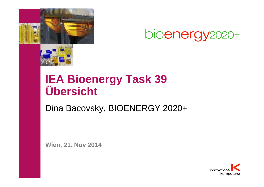

# **IEA Bioenergy Task 39 Übersicht**

Dina Bacovsky, BIOENERGY 2020+

**Wien, 21. Nov 2014**

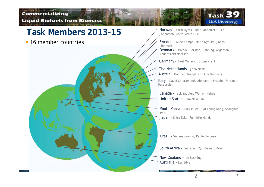#### **Commercializing Liquid Biofuels from Biomass**



**16 member countries** 



**Task 3** 

**IEA Bioenergy** 

Sweden – Alice Kempe, Maria Nyquist, Jonas Lindmark

Denmark - Michael Persson, Henning Jorgensen, Anders Kristoffersen

Germany - Axel Munack, Jürgen Krahl

The Netherlands - John Neeft

Austria - Manfred Wörgetter, Dina Bacovsky

Italy – David Chiaramonti, Alessandra Frattini, Stefania Pescarolo

Canada - Jack Saddler, Warren Mabee United States - Jim McMillan

South Korea - JinSuk Lee, Kyu Young Kang, Seonghun Park Japan - Shiro Saka, Fumihiro Honda

Brazil – Viviana Coelho, Paulo Barbosa

South Africa - Emile van Zyl, Bernard Prior

2

Australia - Les Edye New Zealand – Ian Suckling

**2**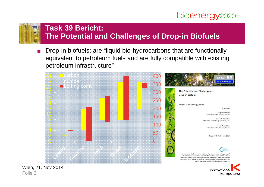

innovations

kompetenz



#### **Task 39 Bericht: The Potential and Challenges of Drop-in Biofuels**

Drop-in biofuels: are "liquid bio-hydrocarbons that are functionally equivalent to petroleum fuels and are fully compatible with existing petroleum infrastructure"



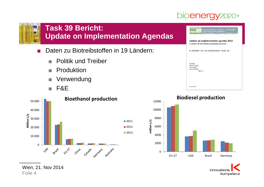

#### **Task 39 Bericht: Update on Implementation Agendas**

- Daten zu Biotreibstoffen in 19 Ländern:
	- $\blacksquare$  Politik und Treiber
	- **Produktion**
	- **N** Verwendung
	- $F & E$



Wien, 21. Nov 2014 Folie 4





#### **Biodiesel production**

innovatio kompetenz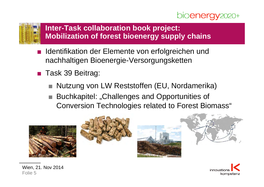



#### **Inter-Task collaboration book project: Mobilization of forest bioenergy supply chains**

- Identifikation der Elemente von erfolgreichen und nachhaltigen Bioenergie-Versorgungsketten
- **Task 39 Beitrag:** 
	- Nutzung von LW Reststoffen (EU, Nordamerika)
	- Buchkapitel: "Challenges and Opportunities of Conversion Technologies related to Forest Biomass"









Wien, 21. Nov 2014 Folie 5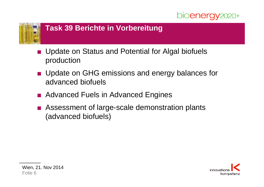



#### **Task 39 Berichte in Vorbereitung**

- Update on Status and Potential for Algal biofuels production
- **Update on GHG emissions and energy balances for** advanced biofuels
- **Advanced Fuels in Advanced Engines**
- Assessment of large-scale demonstration plants (advanced biofuels)

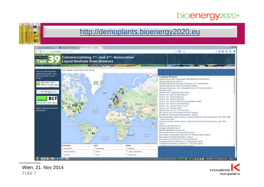#### http://demoplants.bioenergy2020.eu





Wien, 21. Nov 2014 Folie 7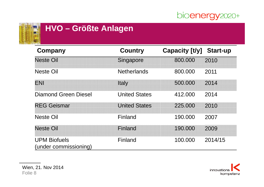

#### **HVO – Größte Anlagen**

| Company                                      | <b>Country</b>       | <b>Capacity [t/y]</b> | <b>Start-up</b> |
|----------------------------------------------|----------------------|-----------------------|-----------------|
| <b>Neste Oil</b>                             | Singapore            | 800.000               | 2010            |
| <b>Neste Oil</b>                             | <b>Netherlands</b>   | 800.000               | 2011            |
| ENI                                          | Italy                | 500.000               | 2014            |
| <b>Diamond Green Diesel</b>                  | <b>United States</b> | 412.000               | 2014            |
| <b>REG Geismar</b>                           | <b>United States</b> | 225.000               | 2010            |
| <b>Neste Oil</b>                             | Finland              | 190,000               | 2007            |
| <b>Neste Oil</b>                             | Finland              | 190.000               | 2009            |
| <b>UPM Biofuels</b><br>(under commissioning) | Finland              | 100.000               | 2014/15         |

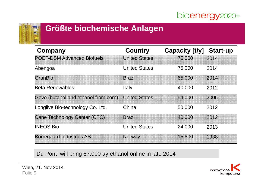

#### **Größte biochemische Anlagen**

| <b>Company</b>                       | <b>Country</b>       | Capacity [t/y] | <b>Start-up</b> |
|--------------------------------------|----------------------|----------------|-----------------|
| <b>POET-DSM Advanced Biofuels</b>    | <b>United States</b> | 75.000         | 2014            |
| Abengoa                              | <b>United States</b> | 75.000         | 2014            |
| GranBio                              | <b>Brazil</b>        | 65,000         | 2014            |
| <b>Beta Renewables</b>               | Italy                | 40.000         | 2012            |
| Gevo (butanol and ethanol from corn) | <b>United States</b> | 54.000         | 2006            |
| Longlive Bio-technology Co. Ltd.     | China                | 50.000         | 2012            |
| <b>Cane Technology Center (CTC)</b>  | <b>Brazil</b>        | 40.000         | 2012            |
| <b>INEOS Bio</b>                     | <b>United States</b> | 24.000         | 2013            |
| <b>Borregaard Industries AS</b>      | Norway               | 15.800         | 1938            |

Du Pont will bring 87.000 t/y ethanol online in late 2014

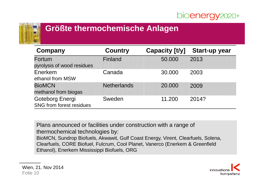

#### **Größte thermochemische Anlagen**

| Company                                                   | <b>Country</b>     | Capacity [t/y] | <b>Start-up year</b> |
|-----------------------------------------------------------|--------------------|----------------|----------------------|
| Fortum<br>pyrolysis of wood residues                      | Finland            | 50.000         | 2013                 |
| Enerkem<br>ethanol from MSW                               | Canada             | 30,000         | 2003                 |
| <b>BioMCN</b><br>methanol from biogas                     | <b>Netherlands</b> | 20.000         | 2009                 |
| <b>Goteborg Energi</b><br><b>SNG from forest residues</b> | Sweden             | 11.200         | 2014?                |

Plans announced or facilities under construction with a range of thermochemical technologies by: BioMCN, Sundrop Biofuels, Akwawit, Gulf Coast Energy, Virent, Clearfuels, Solena, Clearfuels, CORE Biofuel, Fulcrum, Cool Planet, Vanerco (Enerkem & Greenfield Ethanol), Enerkem Mississippi Biofuels, ORG

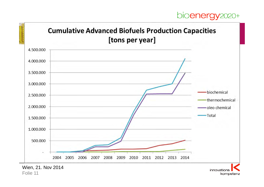kompetenz



Folie 11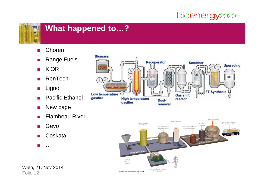

#### **What happened to…?**

- $\blacksquare$  Choren
- **Range Fuels**
- **R** KiOR
- $R$  RenTech
- **D** Lignol
- **Pacific Ethanol**
- $\blacksquare$  New page
- $\blacksquare$  Flambeau River
- Gevo
- $\blacksquare$  Coskata
- $\blacksquare$  ...





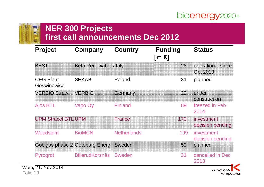

kompetenz

# **NER 300 Projects**

# **first call announcements Dec 2012**

| <b>Project</b>                  | Company                         | <b>Country</b>     | <b>Funding</b><br>[m € | <b>Status</b>                  |
|---------------------------------|---------------------------------|--------------------|------------------------|--------------------------------|
| <b>BEST</b>                     | <b>Beta Renewables Italy</b>    |                    | 28                     | operational since<br>Oct 2013  |
| <b>CEG Plant</b><br>Goswinowice | <b>SEKAB</b>                    | Poland             | 31                     | planned                        |
| <b>VERBIO Straw</b>             | <b>VERBIO</b>                   | Germany            | 22                     | under<br>construction          |
| <b>Ajos BTL</b>                 | Vapo Oy                         | <b>Finland</b>     | 89                     | freezed in Feb<br>2014         |
| <b>UPM Stracel BTL UPM</b>      |                                 | <b>France</b>      | 170                    | investment<br>decision pending |
| <b>Woodspirit</b>               | <b>BioMCN</b>                   | <b>Netherlands</b> | 199                    | investment<br>decision pending |
|                                 | Gobigas phase 2 Goteborg Energi | Sweden             | 59                     | planned                        |
| Pyrogrot                        | <b>BillerudKorsnäs</b>          | Sweden             | 31                     | cancelled in Dec<br>2013       |
| 21. Nov 2014                    |                                 |                    |                        | innovations                    |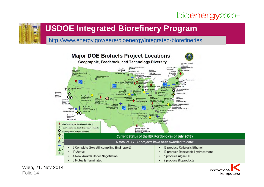## **USDOE Integrated Biorefinery Program**

http://www.energy.gov/eere/bioenergy/integrated-biorefineries





innovations kompetenz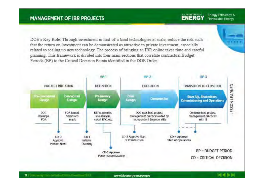#### **MANAGEMENT OF IBR PROJECTS**

DOE's Key Role: Through investment in first-of-a-kind technologies at scale, reduce the risk such that the return on investment can be demonstrated as attractive to private investment, especially related to scaling up new technology. The process of bringing an IBR online takes time and careful planning. This framework is divided into four main sections that correlate contractual Budget Periods (BP) to the Critical Decision Points identified in the DOE Order.



U.S. DEFARTUREST OF

**ENERGY** 

Energy Efficiency &

**THEFT** 

**Renewable Energy**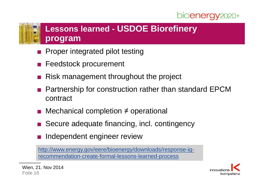#### **Lessons learned - USDOE Biorefinery program**

- Proper integrated pilot testing
- **Feedstock procurement**
- Risk management throughout the project
- Partnership for construction rather than standard EPCM contract
- Mechanical completion  $\neq$  operational
- Secure adequate financing, incl. contingency
- Independent engineer review

http://www.energy.gov/eere/bioenergy/downloads/response-igrecommendation-create-formal-lessons-learned-process

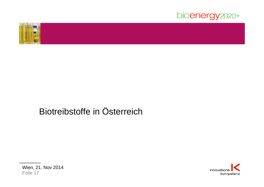



# Biotreibstoffe in Österreich



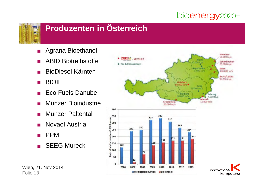

## **Produzenten in Österreich**

- **Agrana Bioethanol**
- **ABID Biotreibstoffe**
- **BioDiesel Kärnten**
- **BIOIL**
- **Eco Fuels Danube**
- Münzer Bioindustrie
- Münzer Paltental
- **Novaol Austria**
- **PPM**
- $\blacksquare$  SEEG Mureck

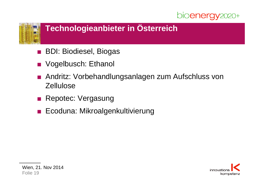

## **Technologieanbieter in Österreich**

- **BDI: Biodiesel, Biogas**
- **Nogelbusch: Ethanol**
- Andritz: Vorbehandlungsanlagen zum Aufschluss von **Zellulose**
- Repotec: Vergasung
- Ecoduna: Mikroalgenkultivierung

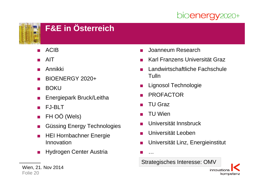

# **F&E in Österreich**

- **ACIB**
- **AIT**
- **Annikki**
- BIOENERGY 2020+
- $\blacksquare$  BOKU
- **Energiepark Bruck/Leitha**
- **FJ-BLT**
- FH OÖ (Wels)
- **Güssing Energy Technologies**
- **Reference HEI Hornbachner Energie** Innovation
- **Hydrogen Center Austria**
- Joanneum Research
- Karl Franzens Universität Graz
- Landwirtschaftliche Fachschule Tulln
- **Lignosol Technologie**
- **PROFACTOR**
- TU Graz
- **TU Wien**

 $\sim$  .

- Universität Innsbruck
- Universität Leoben
- Universität Linz, Energieinstitut
- Strategisches Interesse: OMV



Wien, 21. Nov 2014 Folie 20